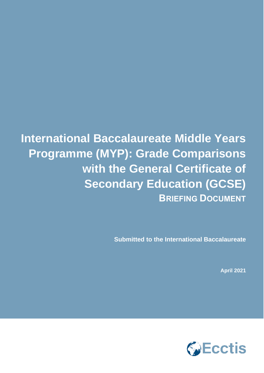**International Baccalaureate Middle Years Programme (MYP): Grade Comparisons with the General Certificate of Secondary Education (GCSE) BRIEFING DOCUMENT**

**Submitted to the International Baccalaureate**

**April 2021**

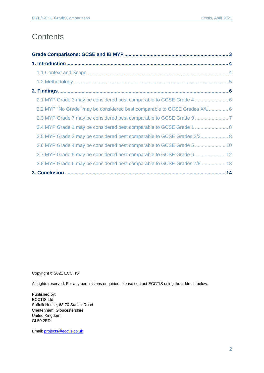### **Contents**

| 2.2 MYP "No Grade" may be considered best comparable to GCSE Grades X/U 6 |  |
|---------------------------------------------------------------------------|--|
|                                                                           |  |
| 2.4 MYP Grade 1 may be considered best comparable to GCSE Grade 1  8      |  |
| 2.5 MYP Grade 2 may be considered best comparable to GCSE Grades 2/3 8    |  |
| 2.6 MYP Grade 4 may be considered best comparable to GCSE Grade 5  10     |  |
| 2.7 MYP Grade 5 may be considered best comparable to GCSE Grade 6  12     |  |
| 2.8 MYP Grade 6 may be considered best comparable to GCSE Grades 7/8 13   |  |
|                                                                           |  |

Copyright © 2021 ECCTIS

All rights reserved. For any permissions enquiries, please contact ECCTIS using the address below.

Published by: ECCTIS Ltd Suffolk House, 68-70 Suffolk Road Cheltenham, Gloucestershire United Kingdom GL50 2ED

Email[: projects@ecctis.co.uk](mailto:projects@ecctis.co.uk)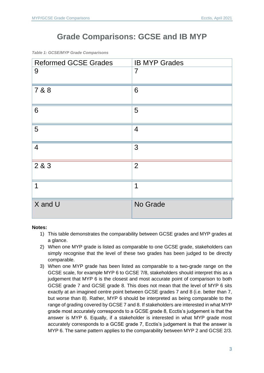# **Grade Comparisons: GCSE and IB MYP**

<span id="page-2-0"></span>*Table 1: GCSE/MYP Grade Comparisons*

| <b>Reformed GCSE Grades</b> | <b>IB MYP Grades</b> |
|-----------------------------|----------------------|
| 9                           | $\overline{7}$       |
| 7 & 8                       | 6                    |
| 6                           | 5                    |
| 5                           | $\overline{4}$       |
| $\overline{4}$              | 3                    |
| 2 & 3                       | $\overline{2}$       |
| $\overline{1}$              | $\mathbf 1$          |
| X and U                     | No Grade             |

#### **Notes:**

- 1) This table demonstrates the comparability between GCSE grades and MYP grades at a glance.
- 2) When one MYP grade is listed as comparable to one GCSE grade, stakeholders can simply recognise that the level of these two grades has been judged to be directly comparable.
- 3) When one MYP grade has been listed as comparable to a two-grade range on the GCSE scale, for example MYP 6 to GCSE 7/8, stakeholders should interpret this as a judgement that MYP 6 is the closest and most accurate point of comparison to both GCSE grade 7 and GCSE grade 8. This does not mean that the level of MYP 6 sits exactly at an imagined centre point between GCSE grades 7 and 8 (i.e. better than 7, but worse than 8). Rather, MYP 6 should be interpreted as being comparable to the range of grading covered by GCSE 7 and 8. If stakeholders are interested in what MYP grade most accurately corresponds to a GCSE grade 8, Ecctis's judgement is that the answer is MYP 6. Equally, if a stakeholder is interested in what MYP grade most accurately corresponds to a GCSE grade 7, Ecctis's judgement is that the answer is MYP 6. The same pattern applies to the comparability between MYP 2 and GCSE 2/3.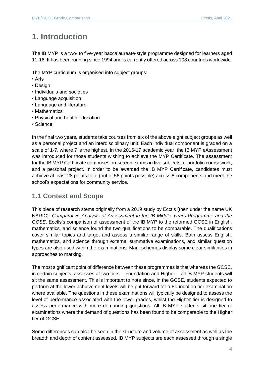# <span id="page-3-0"></span>**1. Introduction**

The IB MYP is a two- to five-year baccalaureate-style programme designed for learners aged 11-16. It has been running since 1994 and is currently offered across 108 countries worldwide.

The MYP curriculum is organised into subject groups:

- Arts
- Design
- Individuals and societies
- Language acquisition
- Language and literature
- Mathematics
- Physical and health education
- Science.

In the final two years, students take courses from six of the above eight subject groups as well as a personal project and an interdisciplinary unit. Each individual component is graded on a scale of 1-7, where 7 is the highest. In the 2016-17 academic year, the IB MYP eAssessment was introduced for those students wishing to achieve the MYP Certificate. The assessment for the IB MYP Certificate comprises on-screen exams in five subjects, e-portfolio coursework, and a personal project. In order to be awarded the IB MYP Certificate, candidates must achieve at least 28 points total (out of 56 points possible) across 8 components and meet the school's expectations for community service.

#### <span id="page-3-1"></span>**1.1 Context and Scope**

This piece of research stems originally from a 2019 study by Ecctis (then under the name UK NARIC): *Comparative Analysis of Assessment in the IB Middle Years Programme and the GCSE*. Ecctis's comparison of assessment of the IB MYP to the reformed GCSE in English, mathematics, and science found the two qualifications to be comparable. The qualifications cover similar topics and target and assess a similar range of skills. Both assess English, mathematics, and science through external summative examinations, and similar question types are also used within the examinations. Mark schemes display some clear similarities in approaches to marking.

The most significant point of difference between these programmes is that whereas the GCSE, in certain subjects, assesses at two tiers – Foundation and Higher – all IB MYP students will sit the same assessment. This is important to note since, in the GCSE, students expected to perform at the lower achievement levels will be put forward for a Foundation tier examination where available. The questions in these examinations will typically be designed to assess the level of performance associated with the lower grades, whilst the Higher tier is designed to assess performance with more demanding questions. All IB MYP students sit one tier of examinations where the demand of questions has been found to be comparable to the Higher tier of GCSE.

Some differences can also be seen in the structure and volume of assessment as well as the breadth and depth of content assessed. IB MYP subjects are each assessed through a single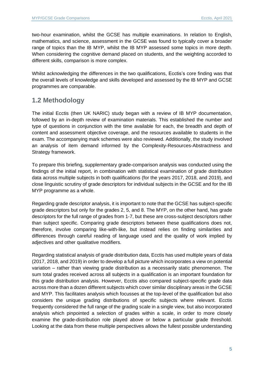two-hour examination, whilst the GCSE has multiple examinations. In relation to English, mathematics, and science, assessment in the GCSE was found to typically cover a broader range of topics than the IB MYP, whilst the IB MYP assessed some topics in more depth. When considering the cognitive demand placed on students, and the weighting accorded to different skills, comparison is more complex.

Whilst acknowledging the differences in the two qualifications, Ecctis's core finding was that the overall levels of knowledge and skills developed and assessed by the IB MYP and GCSE programmes are comparable.

#### <span id="page-4-0"></span>**1.2 Methodology**

The initial Ecctis (then UK NARIC) study began with a review of IB MYP documentation, followed by an in-depth review of examination materials. This established the number and type of questions in conjunction with the time available for each, the breadth and depth of content and assessment objective coverage, and the resources available to students in the exam. The accompanying mark schemes were also reviewed. Additionally, the study involved an analysis of item demand informed by the Complexity-Resources-Abstractness and Strategy framework.

To prepare this briefing, supplementary grade-comparison analysis was conducted using the findings of the initial report, in combination with statistical examination of grade distribution data across multiple subjects in both qualifications (for the years 2017, 2018, and 2019), and close linguistic scrutiny of grade descriptors for individual subjects in the GCSE and for the IB MYP programme as a whole.

Regarding grade descriptor analysis, it is important to note that the GCSE has subject-specific grade descriptors but only for the grades 2, 5, and 8. The MYP, on the other hand, has grade descriptors for the full range of grades from 1-7, but these are cross-subject descriptors rather than subject specific. Comparing grade descriptors between these qualifications does not, therefore, involve comparing like-with-like, but instead relies on finding similarities and differences through careful reading of language used and the quality of work implied by adjectives and other qualitative modifiers.

Regarding statistical analysis of grade distribution data, Ecctis has used multiple years of data (2017, 2018, and 2019) in order to develop a full picture which incorporates a view on potential variation – rather than viewing grade distribution as a necessarily static phenomenon. The sum total grades received across all subjects in a qualification is an important foundation for this grade distribution analysis. However, Ecctis also compared subject-specific grade data across more than a dozen different subjects which cover similar disciplinary areas in the GCSE and MYP. This facilitates analysis which focusses at the top-level of the qualification but also considers the unique grading distributions of specific subjects where relevant. Ecctis frequently considered the full range of the grading scale in a single view, but also incorporated analysis which pinpointed a selection of grades within a scale, in order to more closely examine the grade-distribution role played above or below a particular grade threshold. Looking at the data from these multiple perspectives allows the fullest possible understanding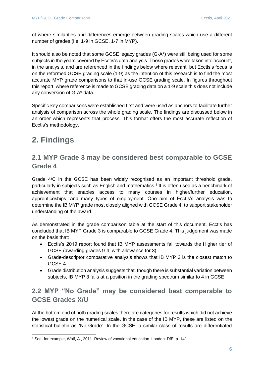of where similarities and differences emerge between grading scales which use a different number of grades (i.e. 1-9 in GCSE, 1-7 in MYP).

It should also be noted that some GCSE legacy grades (G-A\*) were still being used for some subjects in the years covered by Ecctis's data analysis. These grades were taken into account, in the analysis, and are referenced in the findings below where relevant, but Ecctis's focus is on the reformed GCSE grading scale (1-9) as the intention of this research is to find the most accurate MYP grade comparisons to that in-use GCSE grading scale. In figures throughout this report, where reference is made to GCSE grading data on a 1-9 scale this does not include any conversion of G-A\* data.

Specific key comparisons were established first and were used as anchors to facilitate further analysis of comparison across the whole grading scale. The findings are discussed below in an order which represents that process. This format offers the most accurate reflection of Ecctis's methodology.

# <span id="page-5-0"></span>**2. Findings**

#### <span id="page-5-1"></span>**2.1 MYP Grade 3 may be considered best comparable to GCSE Grade 4**

Grade 4/C in the GCSE has been widely recognised as an important threshold grade, particularly in subjects such as English and mathematics.<sup>1</sup> It is often used as a benchmark of achievement that enables access to many courses in higher/further education, apprenticeships, and many types of employment. One aim of Ecctis's analysis was to determine the IB MYP grade most closely aligned with GCSE Grade 4, to support stakeholder understanding of the award.

As demonstrated in the grade comparison table at the start of this document, Ecctis has concluded that IB MYP Grade 3 is comparable to GCSE Grade 4. This judgement was made on the basis that:

- Ecctis's 2019 report found that IB MYP assessments fall towards the Higher tier of GCSE (awarding grades 9-4, with allowance for 3).
- Grade-descriptor comparative analysis shows that IB MYP 3 is the closest match to GCSE 4.
- Grade distribution analysis suggests that, though there is substantial variation between subjects, IB MYP 3 falls at a position in the grading spectrum similar to 4 in GCSE.

#### <span id="page-5-2"></span>**2.2 MYP "No Grade" may be considered best comparable to GCSE Grades X/U**

At the bottom end of both grading scales there are categories for results which did not achieve the lowest grade on the numerical scale. In the case of the IB MYP, these are listed on the statistical bulletin as "No Grade". In the GCSE, a similar class of results are differentiated

<sup>1</sup> See, for example, Wolf, A., 2011. Review of vocational education. London: DfE. p. 141.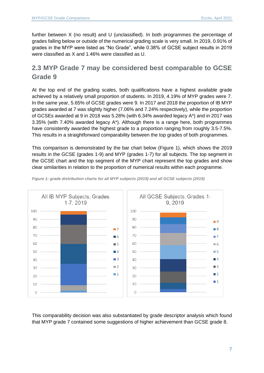further between X (no result) and U (unclassified). In both programmes the percentage of grades falling below or outside of the numerical grading scale is very small. In 2019, 0.91% of grades in the MYP were listed as "No Grade", while 0.38% of GCSE subject results in 2019 were classified as X and 1.46% were classified as U.

#### <span id="page-6-0"></span>**2.3 MYP Grade 7 may be considered best comparable to GCSE Grade 9**

At the top end of the grading scales, both qualifications have a highest available grade achieved by a relatively small proportion of students. In 2019, 4.19% of MYP grades were 7. In the same year, 5.65% of GCSE grades were 9. In 2017 and 2018 the proportion of IB MYP grades awarded at 7 was slightly higher (7.06% and 7.24% respectively), while the proportion of GCSEs awarded at 9 in 2018 was 5.28% (with 6.34% awarded legacy A\*) and in 2017 was 3.35% (with 7.40% awarded legacy A\*). Although there is a range here, both programmes have consistently awarded the highest grade to a proportion ranging from roughly 3.5-7.5%. This results in a straightforward comparability between the top grades of both programmes.

This comparison is demonstrated by the bar chart below (Figure 1), which shows the 2019 results in the GCSE (grades 1-9) and MYP (grades 1-7) for all subjects. The top segment in the GCSE chart and the top segment of the MYP chart represent the top grades and show clear similarities in relation to the proportion of numerical results within each programme.



*Figure 1: grade distribution charts for all MYP subjects (2019) and all GCSE subjects (2019)*

This comparability decision was also substantiated by grade descriptor analysis which found that MYP grade 7 contained some suggestions of higher achievement than GCSE grade 8.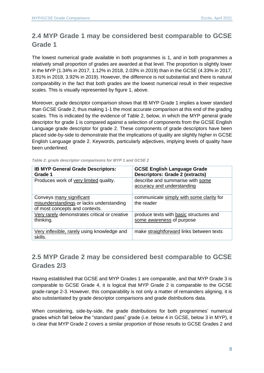#### <span id="page-7-0"></span>**2.4 MYP Grade 1 may be considered best comparable to GCSE Grade 1**

The lowest numerical grade available in both programmes is 1, and in both programmes a relatively small proportion of grades are awarded at that level. The proportion is slightly lower in the MYP (1.34% in 2017, 1.12% in 2018, 2.03% in 2019) than in the GCSE (4.33% in 2017, 3.81% in 2018, 3.92% in 2019). However, the difference is not substantial and there is natural comparability in the fact that both grades are the lowest numerical result in their respective scales. This is visually represented by figure 1, above.

Moreover, grade descriptor comparison shows that IB MYP Grade 1 implies a lower standard than GCSE Grade 2, thus making 1-1 the most accurate comparison at this end of the grading scales. This is indicated by the evidence of Table 2, below, in which the MYP general grade descriptor for grade 1 is compared against a selection of components from the GCSE English Language grade descriptor for grade 2. These components of grade descriptors have been placed side-by-side to demonstrate that the implications of quality are slightly higher in GCSE English Language grade 2. Keywords, particularly adjectives, implying levels of quality have been underlined.

| <b>IB MYP General Grade Descriptors:</b><br>Grade 1                                                    | <b>GCSE English Language Grade</b><br><b>Descriptors: Grade 2 (extracts)</b> |
|--------------------------------------------------------------------------------------------------------|------------------------------------------------------------------------------|
| Produces work of very limited quality.                                                                 | describe and summarise with some<br>accuracy and understanding               |
| Conveys many significant<br>misunderstandings or lacks understanding<br>of most concepts and contexts. | communicate simply with some clarity for<br>the reader                       |
| Very rarely demonstrates critical or creative<br>thinking.                                             | produce texts with basic structures and<br>some awareness of purpose         |
| Very inflexible, rarely using knowledge and<br>skills.                                                 | make straightforward links between texts                                     |

*Table 2: grade descriptor comparisons for MYP 1 and GCSE 2*

#### <span id="page-7-1"></span>**2.5 MYP Grade 2 may be considered best comparable to GCSE Grades 2/3**

Having established that GCSE and MYP Grades 1 are comparable, and that MYP Grade 3 is comparable to GCSE Grade 4, it is logical that MYP Grade 2 is comparable to the GCSE grade-range 2-3. However, this comparability is not only a matter of remainders aligning, it is also substantiated by grade descriptor comparisons and grade distributions data.

When considering, side-by-side, the grade distributions for both programmes' numerical grades which fall below the "standard pass" grade (i.e. below 4 in GCSE, below 3 in MYP), it is clear that MYP Grade 2 covers a similar proportion of those results to GCSE Grades 2 and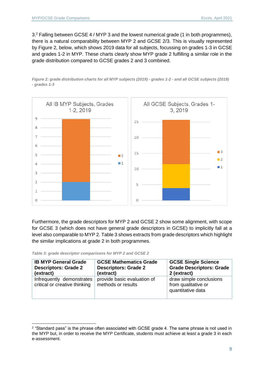3.<sup>2</sup> Falling between GCSE 4 / MYP 3 and the lowest numerical grade (1 in both programmes), there is a natural comparability between MYP 2 and GCSE 2/3. This is visually represented by Figure 2, below, which shows 2019 data for all subjects, focussing on grades 1-3 in GCSE and grades 1-2 in MYP. These charts clearly show MYP grade 2 fulfilling a similar role in the grade distribution compared to GCSE grades 2 and 3 combined.

*Figure 2: grade distribution charts for all MYP subjects (2019) - grades 1-2 - and all GCSE subjects (2019) - grades 1-3*



Furthermore, the grade descriptors for MYP 2 and GCSE 2 show some alignment, with scope for GCSE 3 (which does not have general grade descriptors in GCSE) to implicitly fall at a level also comparable to MYP 2. Table 3 shows extracts from grade descriptors which highlight the similar implications at grade 2 in both programmes.

*Table 3: grade descriptor comparisons for MYP 2 and GCSE 2*

| <b>IB MYP General Grade</b>                                | <b>GCSE Mathematics Grade</b>                     | <b>GCSE Single Science</b>                                          |
|------------------------------------------------------------|---------------------------------------------------|---------------------------------------------------------------------|
| <b>Descriptors: Grade 2</b>                                | <b>Descriptors: Grade 2</b>                       | <b>Grade Descriptors: Grade</b>                                     |
| (extract)                                                  | (extract)                                         | 2 (extract)                                                         |
| Infrequently demonstrates<br>critical or creative thinking | provide basic evaluation of<br>methods or results | draw simple conclusions<br>from qualitative or<br>quantitative data |

 $2$  "Standard pass" is the phrase often associated with GCSE grade 4. The same phrase is not used in the MYP but, in order to receive the MYP Certificate, students must achieve at least a grade 3 in each e-assessment.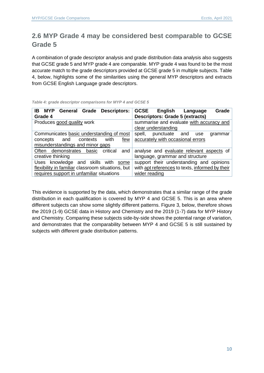#### <span id="page-9-0"></span>**2.6 MYP Grade 4 may be considered best comparable to GCSE Grade 5**

A combination of grade descriptor analysis and grade distribution data analysis also suggests that GCSE grade 5 and MYP grade 4 are comparable. MYP grade 4 was found to be the most accurate match to the grade descriptors provided at GCSE grade 5 in multiple subjects. Table 4, below, highlights some of the similarities using the general MYP descriptors and extracts from GCSE English Language grade descriptors.

| IB<br><b>MYP</b><br><b>Descriptors:</b><br>General Grade<br>Grade 4 | <b>GCSE</b><br>English<br>Grade<br>Language<br><b>Descriptors: Grade 5 (extracts)</b> |
|---------------------------------------------------------------------|---------------------------------------------------------------------------------------|
| Produces good quality work                                          | summarise and evaluate with accuracy and<br>clear understanding                       |
| Communicates basic understanding of most                            | punctuate<br>spell,<br>and<br>grammar<br>use                                          |
| with<br>contexts<br>concepts<br>few<br>and                          | accurately with occasional errors                                                     |
| misunderstandings and minor gaps                                    |                                                                                       |
| Often demonstrates<br>critical<br>basic<br>and                      | analyse and evaluate relevant aspects of                                              |
| creative thinking                                                   | language, grammar and structure                                                       |
| Uses knowledge and skills<br>with<br>some                           | support their understanding and opinions                                              |
| flexibility in familiar classroom situations, but                   | with apt references to texts, informed by their                                       |
| requires support in unfamiliar situations                           | wider reading                                                                         |

*Table 4: grade descriptor comparisons for MYP 4 and GCSE 5*

This evidence is supported by the data, which demonstrates that a similar range of the grade distribution in each qualification is covered by MYP 4 and GCSE 5. This is an area where different subjects can show some slightly different patterns. Figure 3, below, therefore shows the 2019 (1-9) GCSE data in History and Chemistry and the 2019 (1-7) data for MYP History and Chemistry. Comparing these subjects side-by-side shows the potential range of variation, and demonstrates that the comparability between MYP 4 and GCSE 5 is still sustained by subjects with different grade distribution patterns.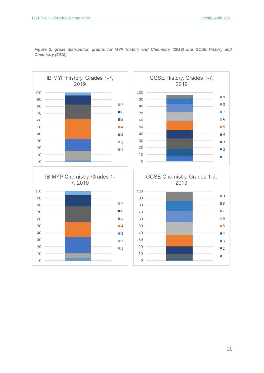

*Figure 3: grade distribution graphs for MYP History and Chemistry (2019) and GCSE History and Chemistry (2019)*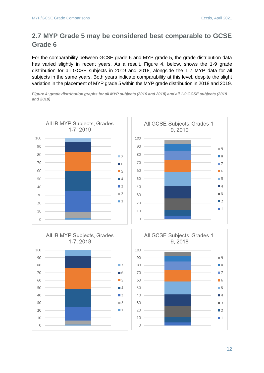### <span id="page-11-0"></span>**2.7 MYP Grade 5 may be considered best comparable to GCSE Grade 6**

For the comparability between GCSE grade 6 and MYP grade 5, the grade distribution data has varied slightly in recent years. As a result, Figure 4, below, shows the 1-9 grade distribution for all GCSE subjects in 2019 and 2018, alongside the 1-7 MYP data for all subjects in the same years. Both years indicate comparability at this level, despite the slight variation in the placement of MYP grade 5 within the MYP grade distribution in 2018 and 2019.

*Figure 4: grade distribution graphs for all MYP subjects (2019 and 2018) and all 1-9 GCSE subjects (2019 and 2018)*



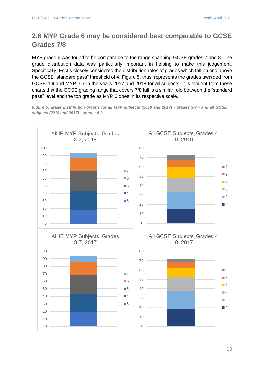### <span id="page-12-0"></span>**2.8 MYP Grade 6 may be considered best comparable to GCSE Grades 7/8**

MYP grade 6 was found to be comparable to the range spanning GCSE grades 7 and 8. The grade distribution data was particularly important in helping to make this judgement. Specifically, Ecctis closely considered the distribution roles of grades which fall on and above the GCSE "standard pass" threshold of 4. Figure 5, thus, represents the grades awarded from GCSE 4-9 and MYP 3-7 in the years 2017 and 2018 for all subjects. It is evident from these charts that the GCSE grading range that covers 7/8 fulfils a similar role between the "standard pass" level and the top grade as MYP 6 does in its respective scale.



*Figure 5: grade distribution graphs for all MYP subjects (2018 and 2017) - grades 3-7 - and all GCSE subjects (2018 and 2017) - grades 4-9*